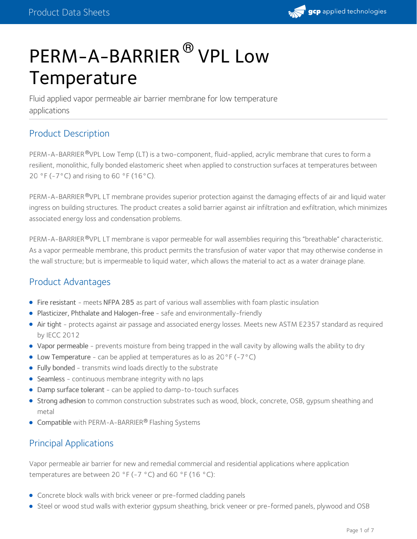

# PERM-A-BARRIER<sup>®</sup> VPL Low **Temperature**

Fluid applied vapor permeable air barrier membrane for low temperature applications

## Product Description

PERM-A-BARRIER®VPL Low Temp (LT) is a two-component, fluid-applied, acrylic membrane that cures to form a resilient, monolithic, fully bonded elastomeric sheet when applied to construction surfaces at temperatures between 20 °F (-7°C) and rising to 60 °F (16°C).

PERM-A-BARRIER®VPL LT membrane provides superior protection against the damaging effects of air and liquid water ingress on building structures. The product creates a solid barrier against air infiltration and exfiltration, which minimizes associated energy loss and condensation problems.

PERM-A-BARRIER ®VPL LT membrane is vapor permeable for wall assemblies requiring this "breathable" characteristic. As a vapor permeable membrane, this product permits the transfusion of water vapor that may otherwise condense in the wall structure; but is impermeable to liquid water, which allows the material to act as a water drainage plane.

## Product Advantages

- Fire resistant meets NFPA 285 as part of various wall assemblies with foam plastic insulation
- Plasticizer, Phthalate and Halogen-free safe and environmentally-friendly
- Air tight protects against air passage and associated energy losses. Meets new ASTM E2357 standard as required by IECC 2012
- Vapor permeable prevents moisture from being trapped in the wall cavity by allowing walls the ability to dry
- Low Temperature can be applied at temperatures as lo as 20°F (-7°C)
- Fully bonded transmits wind loads directly to the substrate
- Seamless continuous membrane integrity with no laps
- Damp surface tolerant can be applied to damp-to-touch surfaces
- Strong adhesion to common construction substrates such as wood, block, concrete, OSB, gypsum sheathing and metal
- Compatible with PERM-A-BARRIER® Flashing Systems

## Principal Applications

Vapor permeable air barrier for new and remedial commercial and residential applications where application temperatures are between 20 °F (-7 °C) and 60 °F (16 °C):

- Concrete block walls with brick veneer or pre-formed cladding panels
- Steel or wood stud walls with exterior gypsum sheathing, brick veneer or pre-formed panels, plywood and OSB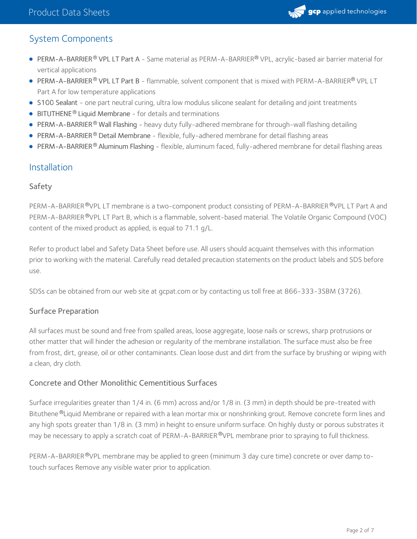

## System Components

- PERM-A-BARRIER® VPL LT Part A Same material as PERM-A-BARRIER® VPL, acrylic-based air barrier material for vertical applications
- <code>PERM-A-BARRIER®</code> <code>VPL</code> LT <code>Part B</code> flammable, solvent component that is mixed with <code>PERM-A-BARRIER®</code> <code>VPL</code> LT <code></code> Part A for low temperature applications
- S100 Sealant one part neutral curing, ultra low modulus silicone sealant for detailing and joint treatments
- BITUTHENE<sup>®</sup> Liquid Membrane for details and terminations
- PERM-A-BARRIER® Wall Flashing heavy duty fully-adhered membrane for through-wall flashing detailing
- PERM-A-BARRIER® Detail Membrane flexible, fully-adhered membrane for detail flashing areas
- PERM-A-BARRIER® Aluminum Flashing flexible, aluminum faced, fully-adhered membrane for detail flashing areas

#### Installation

#### Safety

PERM-A-BARRIER®VPL LT membrane is a two-component product consisting of PERM-A-BARRIER®VPL LT Part A and PERM-A-BARRIER®VPL LT Part B, which is a flammable, solvent-based material. The Volatile Organic Compound (VOC) content of the mixed product as applied, is equal to 71.1 g/L.

Refer to product label and Safety Data Sheet before use. All users should acquaint themselves with this information prior to working with the material. Carefully read detailed precaution statements on the product labels and SDS before use.

SDSs can be obtained from our web site at gcpat.com or by contacting us toll free at 866-333-3SBM (3726).

#### Surface Preparation

All surfaces must be sound and free from spalled areas, loose aggregate, loose nails or screws, sharp protrusions or other matter that will hinder the adhesion or regularity of the membrane installation. The surface must also be free from frost, dirt, grease, oil or other contaminants. Clean loose dust and dirt from the surface by brushing or wiping with a clean, dry cloth.

#### Concrete and Other Monolithic Cementitious Surfaces

Surface irregularities greater than 1/4 in. (6 mm) across and/or 1/8 in. (3 mm) in depth should be pre-treated with Bituthene®Liquid Membrane or repaired with a lean mortar mix or nonshrinking grout. Remove concrete form lines and any high spots greater than 1/8 in. (3 mm) in height to ensure uniform surface. On highly dusty or porous substrates it may be necessary to apply a scratch coat of PERM-A-BARRIER®VPL membrane prior to spraying to full thickness.

PERM-A-BARRIER®VPL membrane may be applied to green (minimum 3 day cure time) concrete or over damp totouch surfaces Remove any visible water prior to application.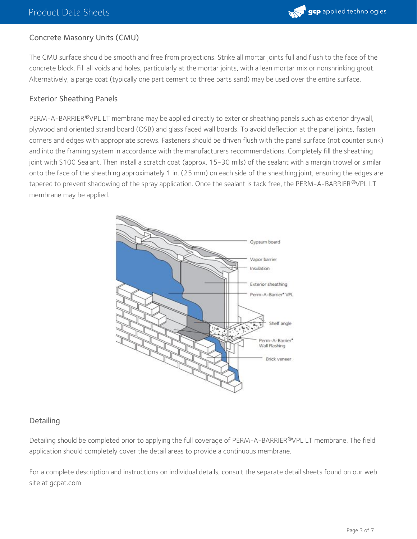

#### Concrete Masonry Units (CMU)

The CMU surface should be smooth and free from projections. Strike all mortar joints full and flush to the face of the concrete block. Fill all voids and holes, particularly at the mortar joints, with a lean mortar mix or nonshrinking grout. Alternatively, a parge coat (typically one part cement to three parts sand) may be used over the entire surface.

#### Exterior Sheathing Panels

PERM-A-BARRIER <sup>®</sup>VPL LT membrane may be applied directly to exterior sheathing panels such as exterior drywall, plywood and oriented strand board (OSB) and glass faced wall boards. To avoid deflection at the panel joints, fasten corners and edges with appropriate screws. Fasteners should be driven flush with the panel surface (not counter sunk) and into the framing system in accordance with the manufacturers recommendations. Completely fill the sheathing joint with S100 Sealant. Then install a scratch coat (approx. 15-30 mils) of the sealant with a margin trowel or similar onto the face of the sheathing approximately 1 in. (25 mm) on each side of the sheathing joint, ensuring the edges are tapered to prevent shadowing of the spray application. Once the sealant is tack free, the PERM-A-BARRIER®VPL LT membrane may be applied.



#### **Detailing**

Detailing should be completed prior to applying the full coverage of PERM-A-BARRIER®VPL LT membrane. The field application should completely cover the detail areas to provide a continuous membrane.

For a complete description and instructions on individual details, consult the separate detail sheets found on our web site at gcpat.com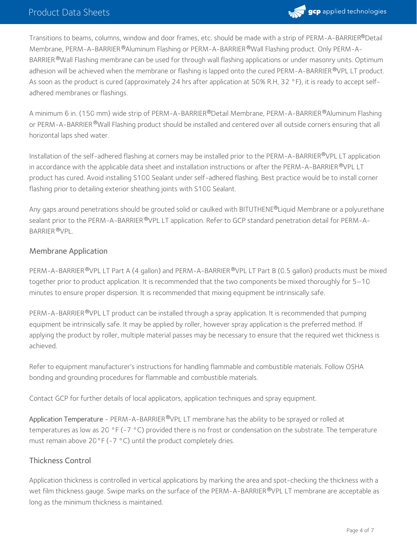

Transitions to beams, columns, window and door frames, etc. should be made with a strip of PERM-A-BARRIER®Detail Membrane, PERM-A-BARRIER ®Aluminum Flashing or PERM-A-BARRIER ®Wall Flashing product. Only PERM-A-BARRIER ®Wall Flashing membrane can be used for through wall flashing applications or under masonry units. Optimum adhesion will be achieved when the membrane or flashing is lapped onto the cured PERM-A-BARRIER ®VPL LT product. As soon as the product is cured (approximately 24 hrs after application at 50% R.H, 32 °F), it is ready to accept selfadhered membranes or flashings.

A minimum 6 in. (150 mm) wide strip of PERM-A-BARRIER®Detail Membrane, PERM-A-BARRIER®Aluminum Flashing or PERM-A-BARRIER®Wall Flashing product should be installed and centered over all outside corners ensuring that all horizontal laps shed water.

Installation of the self-adhered flashing at corners may be installed prior to the PERM-A-BARRIER®VPL LT application in accordance with the applicable data sheet and installation instructions or after the <code>PERM-A-BARRIER®VPL</code> LT  $\,$ product has cured. Avoid installing S100 Sealant under self-adhered flashing. Best practice would be to install corner flashing prior to detailing exterior sheathing joints with S100 Sealant.

Any gaps around penetrations should be grouted solid or caulked with BITUTHENE®Liquid Membrane or a polyurethane sealant prior to the PERM-A-BARRIER ®VPL LT application. Refer to GCP standard penetration detail for PERM-A-BARRIER ®VPL.

#### Membrane Application

PERM-A-BARRIER®VPL LT Part A (4 gallon) and PERM-A-BARRIER®VPL LT Part B (0.5 gallon) products must be mixed together prior to product application. It is recommended that the two components be mixed thoroughly for 5–10 minutes to ensure proper dispersion. It is recommended that mixing equipment be intrinsically safe.

PERM-A-BARRIER®VPL LT product can be installed through a spray application. It is recommended that pumping equipment be intrinsically safe. It may be applied by roller, however spray application is the preferred method. If applying the product by roller, multiple material passes may be necessary to ensure that the required wet thickness is achieved.

Refer to equipment manufacturer's instructions for handling flammable and combustible materials. Follow OSHA bonding and grounding procedures for flammable and combustible materials.

Contact GCP for further details of local applicators, application techniques and spray equipment.

Application Temperature - PERM-A-BARRIER®VPL LT membrane has the ability to be sprayed or rolled at temperatures as low as 20 °F (-7 °C) provided there is no frost or condensation on the substrate. The temperature must remain above 20°F (-7 °C) until the product completely dries.

#### Thickness Control

Application thickness is controlled in vertical applications by marking the area and spot-checking the thickness with a wet film thickness gauge. Swipe marks on the surface of the PERM-A-BARRIER®VPL LT membrane are acceptable as long as the minimum thickness is maintained.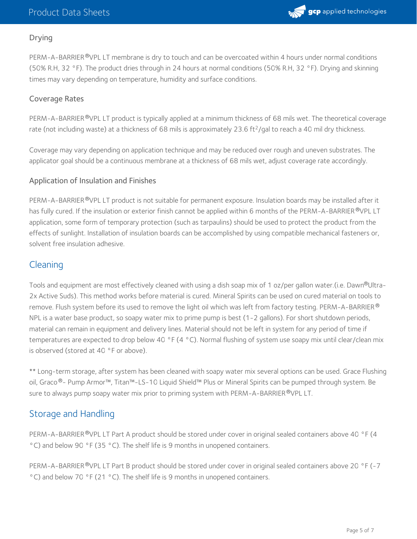

#### Drying

PERM-A-BARRIER®VPL LT membrane is dry to touch and can be overcoated within 4 hours under normal conditions (50% R.H, 32 °F). The product dries through in 24 hours at normal conditions (50% R.H, 32 °F). Drying and skinning times may vary depending on temperature, humidity and surface conditions.

#### Coverage Rates

PERM-A-BARRIER®VPL LT product is typically applied at a minimum thickness of 68 mils wet. The theoretical coverage rate (not including waste) at a thickness of 68 mils is approximately 23.6 ft<sup>2</sup>/gal to reach a 40 mil dry thickness.

Coverage may vary depending on application technique and may be reduced over rough and uneven substrates. The applicator goal should be a continuous membrane at a thickness of 68 mils wet, adjust coverage rate accordingly.

#### Application of Insulation and Finishes

PERM-A-BARRIER®VPL LT product is not suitable for permanent exposure. Insulation boards may be installed after it has fully cured. If the insulation or exterior finish cannot be applied within 6 months of the PERM-A-BARRIER®VPL LT application, some form of temporary protection (such as tarpaulins) should be used to protect the product from the effects of sunlight. Installation of insulation boards can be accomplished by using compatible mechanical fasteners or, solvent free insulation adhesive.

## **Cleaning**

Tools and equipment are most effectively cleaned with using a dish soap mix of 1 oz/per gallon water.(i.e. Dawn®Ultra-2x Active Suds). This method works before material is cured. Mineral Spirits can be used on cured material on tools to remove. Flush system before its used to remove the light oil which was left from factory testing. <code>PERM-A-BARRIER</code>  $^\circ$ NPL is a water base product, so soapy water mix to prime pump is best (1-2 gallons). For short shutdown periods, material can remain in equipment and delivery lines. Material should not be left in system for any period of time if temperatures are expected to drop below 40 °F (4 °C). Normal flushing of system use soapy mix until clear/clean mix is observed (stored at 40 °F or above).

\*\* Long-term storage, after system has been cleaned with soapy water mix several options can be used. Grace Flushing oil, Graco®– Pump Armor™, Titan™–LS–10 Liquid Shield™ Plus or Mineral Spirits can be pumped through system. Be sure to always pump soapy water mix prior to priming system with <code>PERM-A-BARRIER@VPL</code> LT.

## Storage and Handling

PERM-A-BARRIER®VPL LT Part A product should be stored under cover in original sealed containers above 40 °F (4 °C) and below 90 °F (35 °C). The shelf life is 9 months in unopened containers.

PERM-A-BARRIER®VPL LT Part B product should be stored under cover in original sealed containers above 20 °F (-7 °C) and below 70 °F (21 °C). The shelf life is 9 months in unopened containers.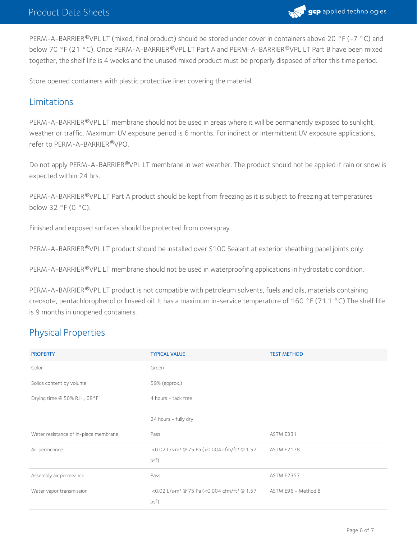

PERM-A-BARRIER®VPL LT (mixed, final product) should be stored under cover in containers above 20 °F (-7 °C) and below 70 °F (21 °C). Once PERM-A-BARRIER ®VPL LT Part A and PERM-A-BARRIER ®VPL LT Part B have been mixed together, the shelf life is 4 weeks and the unused mixed product must be properly disposed of after this time period.

Store opened containers with plastic protective liner covering the material.

## Limitations

PERM-A-BARRIER <sup>®</sup>VPL LT membrane should not be used in areas where it will be permanently exposed to sunlight, weather or traffic. Maximum UV exposure period is 6 months. For indirect or intermittent UV exposure applications, refer to PERM-A-BARRIER®VPO.

Do not apply PERM-A-BARRIER®VPL LT membrane in wet weather. The product should not be applied if rain or snow is expected within 24 hrs.

PERM-A-BARRIER®VPL LT Part A product should be kept from freezing as it is subject to freezing at temperatures below 32 °F (0 °C).

Finished and exposed surfaces should be protected from overspray.

PERM-A-BARRIER®VPL LT product should be installed over S100 Sealant at exterior sheathing panel joints only.

PERM-A-BARRIER®VPL LT membrane should not be used in waterproofing applications in hydrostatic condition.

PERM-A-BARRIER®VPL LT product is not compatible with petroleum solvents, fuels and oils, materials containing creosote, pentachlorophenol or linseed oil. It has a maximum in-service temperature of 160 °F (71.1 °C).The shelf life is 9 months in unopened containers.

## Physical Properties

| <b>PROPERTY</b>                       | <b>TYPICAL VALUE</b>                                                        | <b>TEST METHOD</b>  |
|---------------------------------------|-----------------------------------------------------------------------------|---------------------|
| Color                                 | Green                                                                       |                     |
| Solids content by volume              | 59% (approx.)                                                               |                     |
| Drying time @ 50% R.H., 68°F1         | 4 hours - tack free                                                         |                     |
|                                       | 24 hours - fully dry                                                        |                     |
| Water resistance of in-place membrane | Pass                                                                        | ASTM E331           |
| Air permeance                         | <0.02 L/s·m <sup>2</sup> @ 75 Pa (<0.004 cfm/ft <sup>2</sup> @ 1.57<br>psf) | <b>ASTM E2178</b>   |
| Assembly air permeance                | Pass                                                                        | <b>ASTM E2357</b>   |
| Water vapor transmission              | <0.02 L/s·m <sup>2</sup> @ 75 Pa (<0.004 cfm/ft <sup>2</sup> @ 1.57<br>psf) | ASTM E96 - Method B |